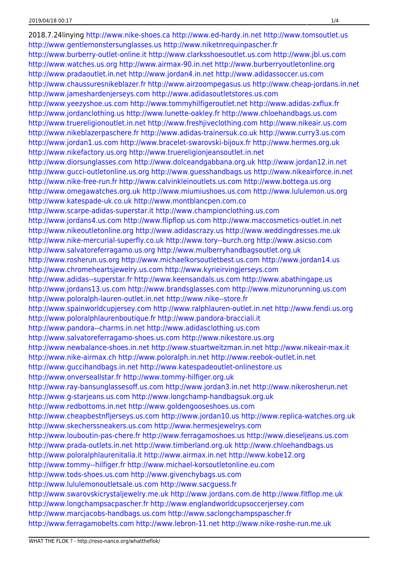2018.7.24linying <http://www.nike-shoes.ca> <http://www.ed-hardy.in.net> <http://www.tomsoutlet.us> <http://www.gentlemonstersunglasses.us> <http://www.niketnrequinpascher.fr> <http://www.burberry-outlet-online.it> <http://www.clarksshoesoutlet.us.com> <http://www.jbl.us.com> <http://www.watches.us.org> <http://www.airmax-90.in.net> <http://www.burberryoutletonline.org> <http://www.pradaoutlet.in.net> <http://www.jordan4.in.net> <http://www.adidassoccer.us.com> <http://www.chaussuresnikeblazer.fr> <http://www.airzoompegasus.us> <http://www.cheap-jordans.in.net> <http://www.jameshardenjerseys.com> <http://www.adidasoutletstores.us.com> <http://www.yeezyshoe.us.com> <http://www.tommyhilfigeroutlet.net> <http://www.adidas-zxflux.fr> <http://www.jordanclothing.us> <http://www.lunette-oakley.fr> <http://www.chloehandbags.us.com> <http://www.truereligionoutlet.in.net> <http://www.freshjiveclothing.com> <http://www.nikeair.us.com> <http://www.nikeblazerpaschere.fr> <http://www.adidas-trainersuk.co.uk> <http://www.curry3.us.com> <http://www.jordan1.us.com> <http://www.bracelet-swarovski-bijoux.fr> <http://www.hermes.org.uk> <http://www.nikefactory.us.org> <http://www.truereligionjeansoutlet.in.net> <http://www.diorsunglasses.com> <http://www.dolceandgabbana.org.uk> <http://www.jordan12.in.net> <http://www.gucci-outletonline.us.org> <http://www.guesshandbags.us> <http://www.nikeairforce.in.net> <http://www.nike-free-run.fr> <http://www.calvinkleinoutlets.us.com> <http://www.bottega.us.org> <http://www.omegawatches.org.uk> <http://www.miumiushoes.us.com> <http://www.lululemon.us.org> <http://www.katespade-uk.co.uk> <http://www.montblancpen.com.co> <http://www.scarpe-adidas-superstar.it> <http://www.championclothing.us.com> <http://www.jordans4.us.com> <http://www.flipflop.us.com> <http://www.maccosmetics-outlet.in.net> <http://www.nikeoutletonline.org> <http://www.adidascrazy.us> <http://www.weddingdresses.me.uk> <http://www.nike-mercurial-superfly.co.uk> <http://www.tory--burch.org> <http://www.asicso.com> <http://www.salvatoreferragamo.us.org> <http://www.mulberryhandbagsoutlet.org.uk> <http://www.rosherun.us.org> <http://www.michaelkorsoutletbest.us.com> <http://www.jordan14.us> <http://www.chromeheartsjewelry.us.com> <http://www.kyrieirvingjerseys.com> <http://www.adidas--superstar.fr> <http://www.keensandals.us.com> <http://www.abathingape.us> <http://www.jordans13.us.com> <http://www.brandsglasses.com> <http://www.mizunorunning.us.com> <http://www.poloralph-lauren-outlet.in.net> <http://www.nike--store.fr> <http://www.spainworldcupjersey.com> <http://www.ralphlauren-outlet.in.net> <http://www.fendi.us.org> <http://www.poloralphlaurenboutique.fr> <http://www.pandora-bracciali.it> <http://www.pandora--charms.in.net> <http://www.adidasclothing.us.com> <http://www.salvatoreferragamo-shoes.us.com> <http://www.nikestore.us.org> <http://www.newbalance-shoes.in.net> <http://www.stuartweitzman.in.net> <http://www.nikeair-max.it> <http://www.nike-airmax.ch> <http://www.poloralph.in.net> <http://www.reebok-outlet.in.net> <http://www.guccihandbags.in.net> <http://www.katespadeoutlet-onlinestore.us> <http://www.onverseallstar.fr> <http://www.tommy-hilfiger.org.uk> <http://www.ray-bansunglassesoff.us.com> <http://www.jordan3.in.net> <http://www.nikerosherun.net> <http://www.g-starjeans.us.com> <http://www.longchamp-handbagsuk.org.uk> <http://www.redbottoms.in.net> <http://www.goldengooseshoes.us.com> <http://www.cheapbestnfljerseys.us.com> <http://www.jordan10.us> <http://www.replica-watches.org.uk> <http://www.skecherssneakers.us.com> <http://www.hermesjewelrys.com> <http://www.louboutin-pas-chere.fr> <http://www.ferragamoshoes.us> <http://www.dieseljeans.us.com> <http://www.prada-outlets.in.net> <http://www.timberland.org.uk> <http://www.chloehandbags.us> <http://www.poloralphlaurenitalia.it> <http://www.airmax.in.net> <http://www.kobe12.org> <http://www.tommy--hilfiger.fr> <http://www.michael-korsoutletonline.eu.com> <http://www.tods-shoes.us.com> <http://www.givenchybags.us.com> <http://www.lululemonoutletsale.us.com> <http://www.sacguess.fr> <http://www.swarovskicrystaljewelry.me.uk> <http://www.jordans.com.de> <http://www.fitflop.me.uk> <http://www.longchampsacpascher.fr> <http://www.englandworldcupsoccerjersey.com> <http://www.marcjacobs-handbags.us.com> <http://www.saclongchampspascher.fr> <http://www.ferragamobelts.com> <http://www.lebron-11.net> <http://www.nike-roshe-run.me.uk>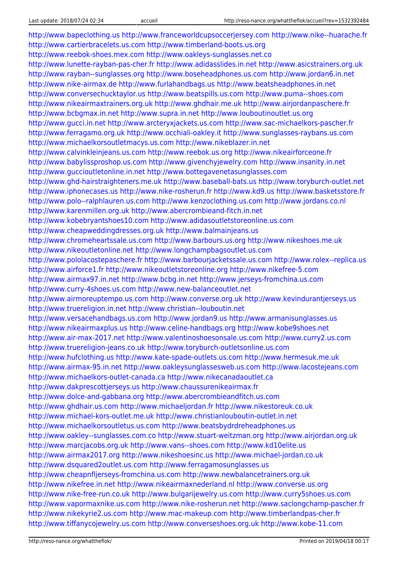<http://www.bapeclothing.us> <http://www.franceworldcupsoccerjersey.com> <http://www.nike--huarache.fr> <http://www.cartierbracelets.us.com> <http://www.timberland-boots.us.org> <http://www.reebok-shoes.mex.com> <http://www.oakleys-sunglasses.net.co> <http://www.lunette-rayban-pas-cher.fr> <http://www.adidasslides.in.net> <http://www.asicstrainers.org.uk> <http://www.rayban--sunglasses.org> <http://www.boseheadphones.us.com> <http://www.jordan6.in.net> <http://www.nike-airmax.de> <http://www.furlahandbags.us> <http://www.beatsheadphones.in.net> <http://www.conversechucktaylor.us> <http://www.beatspills.us.com> <http://www.puma--shoes.com> <http://www.nikeairmaxtrainers.org.uk> <http://www.ghdhair.me.uk> <http://www.airjordanpaschere.fr> <http://www.bcbgmax.in.net> <http://www.supra.in.net> <http://www.louboutinoutlet.us.org> <http://www.gucci.in.net> <http://www.arcteryxjackets.us.com> <http://www.sac-michaelkors-pascher.fr> <http://www.ferragamo.org.uk> <http://www.occhiali-oakley.it> <http://www.sunglasses-raybans.us.com> <http://www.michaelkorsoutletmacys.us.com> <http://www.nikeblazer.in.net> <http://www.calvinkleinjeans.us.com> <http://www.reebok.us.org> <http://www.nikeairforceone.fr> <http://www.babylissproshop.us.com> <http://www.givenchyjewelry.com> <http://www.insanity.in.net> <http://www.guccioutletonline.in.net> <http://www.bottegavenetasunglasses.com> <http://www.ghd-hairstraighteners.me.uk> <http://www.baseball-bats.us> <http://www.toryburch-outlet.net> <http://www.iphonecases.us> <http://www.nike-rosherun.fr> <http://www.kd9.us> <http://www.basketsstore.fr> <http://www.polo--ralphlauren.us.com> <http://www.kenzoclothing.us.com> <http://www.jordans.co.nl> <http://www.karenmillen.org.uk> <http://www.abercrombieand-fitch.in.net> <http://www.kobebryantshoes10.com> <http://www.adidasoutletstoreonline.us.com> <http://www.cheapweddingdresses.org.uk> <http://www.balmainjeans.us> <http://www.chromeheartssale.us.com> <http://www.barbours.us.org> <http://www.nikeshoes.me.uk> <http://www.nikeoutletonline.net> <http://www.longchampbagsoutlet.us.com> <http://www.pololacostepaschere.fr> <http://www.barbourjacketssale.us.com> <http://www.rolex--replica.us> <http://www.airforce1.fr> <http://www.nikeoutletstoreonline.org> <http://www.nikefree-5.com> <http://www.airmax97.in.net> <http://www.bcbg.in.net> <http://www.jerseys-fromchina.us.com> <http://www.curry-4shoes.us.com> <http://www.new-balanceoutlet.net> <http://www.airmoreuptempo.us.com> <http://www.converse.org.uk> <http://www.kevindurantjerseys.us> <http://www.truereligion.in.net> <http://www.christian--louboutin.net> <http://www.versacehandbags.us.com> <http://www.jordan9.us> <http://www.armanisunglasses.us> <http://www.nikeairmaxplus.us> <http://www.celine-handbags.org> <http://www.kobe9shoes.net> <http://www.air-max-2017.net> <http://www.valentinoshoesonsale.us.com> <http://www.curry2.us.com> <http://www.truereligion-jeans.co.uk> <http://www.toryburch-outletsonline.us.com> <http://www.hufclothing.us> <http://www.kate-spade-outlets.us.com> <http://www.hermesuk.me.uk> <http://www.airmax-95.in.net> <http://www.oakleysunglassesweb.us.com> <http://www.lacostejeans.com> <http://www.michaelkors-outlet-canada.ca> <http://www.nikecanadaoutlet.ca> <http://www.dakprescottjerseys.us> <http://www.chaussurenikeairmax.fr> <http://www.dolce-and-gabbana.org> <http://www.abercrombieandfitch.us.com> <http://www.ghdhair.us.com> <http://www.michaeljordan.fr> <http://www.nikestoreuk.co.uk> <http://www.michael-kors-outlet.me.uk> <http://www.christianlouboutin-outlet.in.net> <http://www.michaelkorsoutletus.us.com> <http://www.beatsbydrdreheadphones.us> <http://www.oakley--sunglasses.com.co> <http://www.stuart-weitzman.org> <http://www.airjordan.org.uk> <http://www.marcjacobs.org.uk> <http://www.vans--shoes.com> <http://www.kd10elite.us> <http://www.airmax2017.org> <http://www.nikeshoesinc.us> <http://www.michael-jordan.co.uk> <http://www.dsquared2outlet.us.com> <http://www.ferragamosunglasses.us> <http://www.cheapnfljerseys-fromchina.us.com> <http://www.newbalancetrainers.org.uk> <http://www.nikefree.in.net> <http://www.nikeairmaxnederland.nl> <http://www.converse.us.org> <http://www.nike-free-run.co.uk> <http://www.bulgarijewelry.us.com> <http://www.curry5shoes.us.com> <http://www.vapormaxnike.us.com> <http://www.nike-rosherun.net> <http://www.saclongchamp-pascher.fr> <http://www.nikekyrie2.us.com> <http://www.mac-makeup.com> <http://www.timberlandpas-cher.fr> <http://www.tiffanycojewelry.us.com> <http://www.converseshoes.org.uk> <http://www.kobe-11.com>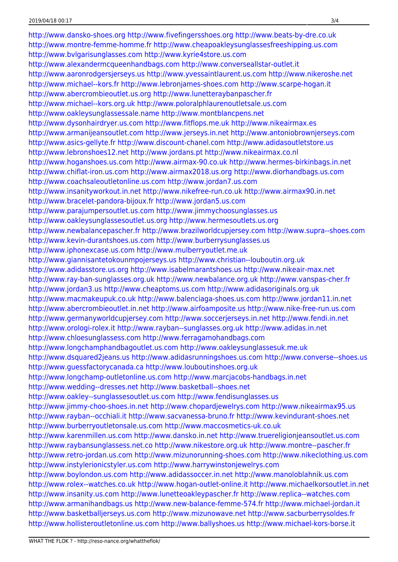<http://www.dansko-shoes.org> <http://www.fivefingersshoes.org> <http://www.beats-by-dre.co.uk> <http://www.montre-femme-homme.fr> <http://www.cheapoakleysunglassesfreeshipping.us.com> <http://www.bvlgarisunglasses.com> <http://www.kyrie4store.us.com> <http://www.alexandermcqueenhandbags.com> <http://www.converseallstar-outlet.it> <http://www.aaronrodgersjerseys.us> <http://www.yvessaintlaurent.us.com> <http://www.nikeroshe.net> <http://www.michael--kors.fr> <http://www.lebronjames-shoes.com> <http://www.scarpe-hogan.it> <http://www.abercrombieoutlet.us.org> <http://www.lunetteraybanpascher.fr> <http://www.michael--kors.org.uk> <http://www.poloralphlaurenoutletsale.us.com> <http://www.oakleysunglassessale.name> <http://www.montblancpens.net> <http://www.dysonhairdryer.us.com> <http://www.fitflops.me.uk> <http://www.nikeairmax.es> <http://www.armanijeansoutlet.com> <http://www.jerseys.in.net> <http://www.antoniobrownjerseys.com> <http://www.asics-gellyte.fr> <http://www.discount-chanel.com> <http://www.adidasoutletstore.us> <http://www.lebronshoes12.net> <http://www.jordans.pt> <http://www.nikeairmax.co.nl> <http://www.hoganshoes.us.com> <http://www.airmax-90.co.uk> <http://www.hermes-birkinbags.in.net> <http://www.chiflat-iron.us.com> <http://www.airmax2018.us.org> <http://www.diorhandbags.us.com> <http://www.coachsaleoutletonline.us.com> <http://www.jordan7.us.com> <http://www.insanityworkout.in.net> <http://www.nikefree-run.co.uk> <http://www.airmax90.in.net> <http://www.bracelet-pandora-bijoux.fr> <http://www.jordan5.us.com> <http://www.parajumpersoutlet.us.com> <http://www.jimmychoosunglasses.us> <http://www.oakleysunglassesoutlet.us.org> <http://www.hermesoutlets.us.org> <http://www.newbalancepascher.fr> <http://www.brazilworldcupjersey.com> <http://www.supra--shoes.com> <http://www.kevin-durantshoes.us.com> <http://www.burberrysunglasses.us> <http://www.iphonexcase.us.com> <http://www.mulberryoutlet.me.uk> <http://www.giannisantetokounmpojerseys.us> <http://www.christian--louboutin.org.uk> <http://www.adidasstore.us.org> <http://www.isabelmarantshoes.us> <http://www.nikeair-max.net> <http://www.ray-ban-sunglasses.org.uk> <http://www.newbalance.org.uk> <http://www.vanspas-cher.fr> <http://www.jordan3.us> <http://www.cheaptoms.us.com> <http://www.adidasoriginals.org.uk> <http://www.macmakeupuk.co.uk> <http://www.balenciaga-shoes.us.com> <http://www.jordan11.in.net> <http://www.abercrombieoutlet.in.net> <http://www.airfoamposite.us> <http://www.nike-free-run.us.com> <http://www.germanyworldcupjersey.com> <http://www.soccerjerseys.in.net> <http://www.fendi.in.net> <http://www.orologi-rolex.it> <http://www.rayban--sunglasses.org.uk> <http://www.adidas.in.net> <http://www.chloesunglassess.com> <http://www.ferragamohandbags.com> <http://www.longchamphandbagoutlet.us.com> <http://www.oakleysunglassesuk.me.uk> <http://www.dsquared2jeans.us> <http://www.adidasrunningshoes.us.com> <http://www.converse--shoes.us> <http://www.guessfactorycanada.ca> <http://www.louboutinshoes.org.uk> <http://www.longchamp-outletonline.us.com> <http://www.marcjacobs-handbags.in.net> <http://www.wedding--dresses.net> <http://www.basketball--shoes.net> <http://www.oakley--sunglassesoutlet.us.com> <http://www.fendisunglasses.us> <http://www.jimmy-choo-shoes.in.net> <http://www.chopardjewelrys.com> <http://www.nikeairmax95.us> <http://www.rayban--occhiali.it> <http://www.sacvanessa-bruno.fr> <http://www.kevindurant-shoes.net> <http://www.burberryoutletonsale.us.com> <http://www.maccosmetics-uk.co.uk> <http://www.karenmillen.us.com> <http://www.dansko.in.net> <http://www.truereligionjeansoutlet.us.com> <http://www.raybansunglassess.net.co> <http://www.nikestore.org.uk> <http://www.montre--pascher.fr> <http://www.retro-jordan.us.com> <http://www.mizunorunning-shoes.com> <http://www.nikeclothing.us.com> <http://www.instylerionicstyler.us.com> <http://www.harrywinstonjewelrys.com> <http://www.boylondon.us.com> <http://www.adidassoccer.in.net> <http://www.manoloblahnik.us.com> <http://www.rolex--watches.co.uk> <http://www.hogan-outlet-online.it> <http://www.michaelkorsoutlet.in.net> <http://www.insanity.us.com> <http://www.lunetteoakleypascher.fr> <http://www.replica--watches.com> <http://www.armanihandbags.us> <http://www.new-balance-femme-574.fr> <http://www.michael-jordan.it> <http://www.basketballjerseys.us.com> <http://www.mizunowave.net> <http://www.sacburberrysoldes.fr> <http://www.hollisteroutletonline.us.com> <http://www.ballyshoes.us> <http://www.michael-kors-borse.it>